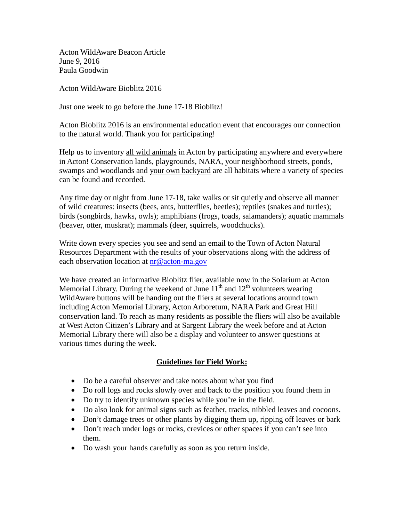Acton WildAware Beacon Article June 9, 2016 Paula Goodwin

## Acton WildAware Bioblitz 2016

Just one week to go before the June 17-18 Bioblitz!

Acton Bioblitz 2016 is an environmental education event that encourages our connection to the natural world. Thank you for participating!

Help us to inventory all wild animals in Acton by participating anywhere and everywhere in Acton! Conservation lands, playgrounds, NARA, your neighborhood streets, ponds, swamps and woodlands and your own backyard are all habitats where a variety of species can be found and recorded.

Any time day or night from June 17-18, take walks or sit quietly and observe all manner of wild creatures: insects (bees, ants, butterflies, beetles); reptiles (snakes and turtles); birds (songbirds, hawks, owls); amphibians (frogs, toads, salamanders); aquatic mammals (beaver, otter, muskrat); mammals (deer, squirrels, woodchucks).

Write down every species you see and send an email to the Town of Acton Natural Resources Department with the results of your observations along with the address of each observation location at  $nr@$  acton-ma.gov

We have created an informative Bioblitz flier, available now in the Solarium at Acton Memorial Library. During the weekend of June  $11<sup>th</sup>$  and  $12<sup>th</sup>$  volunteers wearing WildAware buttons will be handing out the fliers at several locations around town including Acton Memorial Library, Acton Arboretum, NARA Park and Great Hill conservation land. To reach as many residents as possible the fliers will also be available at West Acton Citizen's Library and at Sargent Library the week before and at Acton Memorial Library there will also be a display and volunteer to answer questions at various times during the week.

## **Guidelines for Field Work:**

- Do be a careful observer and take notes about what you find
- Do roll logs and rocks slowly over and back to the position you found them in
- Do try to identify unknown species while you're in the field.
- Do also look for animal signs such as feather, tracks, nibbled leaves and cocoons.
- Don't damage trees or other plants by digging them up, ripping off leaves or bark
- Don't reach under logs or rocks, crevices or other spaces if you can't see into them.
- Do wash your hands carefully as soon as you return inside.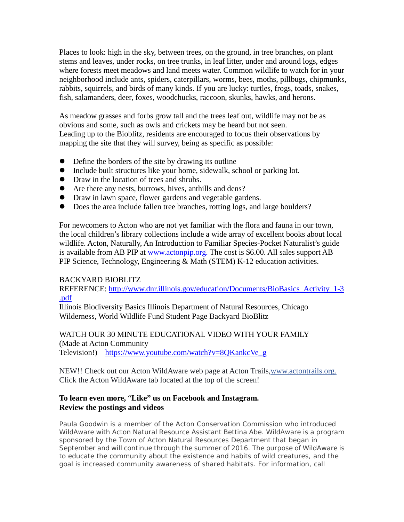Places to look: high in the sky, between trees, on the ground, in tree branches, on plant stems and leaves, under rocks, on tree trunks, in leaf litter, under and around logs, edges where forests meet meadows and land meets water. Common wildlife to watch for in your neighborhood include ants, spiders, caterpillars, worms, bees, moths, pillbugs, chipmunks, rabbits, squirrels, and birds of many kinds. If you are lucky: turtles, frogs, toads, snakes, fish, salamanders, deer, foxes, woodchucks, raccoon, skunks, hawks, and herons.

As meadow grasses and forbs grow tall and the trees leaf out, wildlife may not be as obvious and some, such as owls and crickets may be heard but not seen. Leading up to the Bioblitz, residents are encouraged to focus their observations by mapping the site that they will survey, being as specific as possible:

- Define the borders of the site by drawing its outline
- Include built structures like your home, sidewalk, school or parking lot.
- Draw in the location of trees and shrubs.
- Are there any nests, burrows, hives, anthills and dens?
- Draw in lawn space, flower gardens and vegetable gardens.
- Does the area include fallen tree branches, rotting logs, and large boulders?

For newcomers to Acton who are not yet familiar with the flora and fauna in our town, the local children's library collections include a wide array of excellent books about local wildlife. Acton, Naturally, An Introduction to Familiar Species-Pocket Naturalist's guide is available from AB PIP at [www.actonpip.org.](http://www.actonpip.org./) The cost is \$6.00. All sales support AB PIP Science, Technology, Engineering & Math (STEM) K-12 education activities.

## BACKYARD BIOBLITZ

REFERENCE: [http://www.dnr.illinois.gov/education/Documents/BioBasics\\_Activity\\_1-3](http://www.dnr.illinois.gov/education/Documents/BioBasics_Activity_1-3.pdf) [.pdf](http://www.dnr.illinois.gov/education/Documents/BioBasics_Activity_1-3.pdf)

Illinois Biodiversity Basics Illinois Department of Natural Resources, Chicago Wilderness, World Wildlife Fund Student Page Backyard BioBlitz

WATCH OUR 30 MINUTE EDUCATIONAL VIDEO WITH YOUR FAMILY (Made at Acton Community Television!) [https://www.youtube.com/watch?v=8QKankcVe\\_g](https://www.youtube.com/watch?v=8QKankcVe_g)

NEW!! Check out our Acton WildAware web page at Acton Trails[,www.actontrails.org.](http://www.actontrails.org/) Click the Acton WildAware tab located at the top of the screen!

## **To learn even more,** "**Like" us on Facebook and Instagram. Review the postings and videos**

*Paula Goodwin is a member of the Acton Conservation Commission who introduced WildAware with Acton Natural Resource Assistant Bettina Abe. WildAware is a program sponsored by the Town of Acton Natural Resources Department that began in September and will continue through the summer of 2016. The purpose of WildAware is to educate the community about the existence and habits of wild creatures, and the goal is increased community awareness of shared habitats. For information, call*